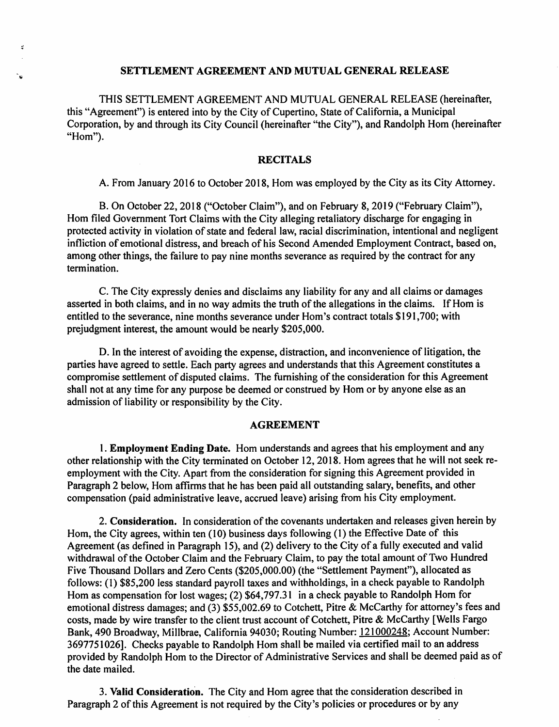#### **SETTLEMENT AGREEMENT AND MUTUAL GENERAL RELEASE**

 $\dot{z}$ 

THIS SETTLEMENT AGREEMENT AND MUTUAL GENERAL RELEASE (hereinafter, this "Agreement") is entered into by the City of Cupertino, State of California, a Municipal Corporation, by and through its City Council (hereinafter "the City"), and Randolph Horn (hereinafter "Hom").

### **RECITALS**

A. From January 2016 to October 2018, Horn was employed by the City as its City Attorney.

B. On October 22, 2018 ("October Claim"), and on February 8, 2019 ("February Claim"), Horn filed Government Tort Claims with the City alleging retaliatory discharge for engaging in protected activity in violation of state and federal law, racial discrimination, intentional and negligent infliction of emotional distress, and breach of his Second Amended Employment Contract, based on, among other things, the failure to pay nine months severance as required by the contract for any termination.

C. The City expressly denies and disclaims any liability for any and all claims or damages asserted in both claims, and in no way admits the truth of the allegations in the claims. If Hom is entitled to the severance, nine months severance under Hom's contract totals \$191,700; with prejudgment interest, the amount would be nearly \$205,000.

D. In the interest of avoiding the expense, distraction, and inconvenience of litigation, the parties have agreed to settle. Each party agrees and understands that this Agreement constitutes a compromise settlement of disputed claims. The furnishing of the consideration for this Agreement shall not at any time for any purpose be deemed or construed by Hom or by anyone else as an admission of liability or responsibility by the City.

#### **AGREEMENT**

**1. Employment Ending Date.** Horn understands and agrees that his employment and any other relationship with the City terminated on October 12, 2018. Horn agrees that he will not seek reemployment with the City. Apart from the consideration for signing this Agreement provided in Paragraph 2 below, Horn affirms that he has been paid all outstanding salary, benefits, and other compensation (paid administrative leave, accrued leave) arising from his City employment.

**2. Consideration.** In consideration of the covenants undertaken and releases given herein by Hom, the City agrees, within ten (10) business days following (1) the Effective Date of this Agreement (as defined in Paragraph 15), and (2) delivery to the City of a fully executed and valid withdrawal of the October Claim and the February Claim, to pay the total amount of Two Hundred Five Thousand Dollars and Zero Cents (\$205,000.00) (the "Settlement Payment"), allocated as follows: (1) \$85,200 less standard payroll taxes and withholdings, in a check payable to Randolph Hom as compensation for lost wages; (2) \$64,797.31 in a check payable to Randolph Hom for emotional distress damages; and (3) \$55,002.69 to Cotchett, Pitre & McCarthy for attorney's fees and costs, made by wire transfer to the client trust account of Cotchett, Pitre & McCarthy [Wells Fargo Bank, 490 Broadway, Millbrae, California 94030; Routing Number: 121000248; Account Number: 3697751026]. Checks payable to Randolph Horn shall be mailed via certified mail to an address provided by Randolph Horn to the Director of Administrative Services and shall be deemed paid as of the date mailed.

**3. Valid Consideration.** The City and Horn agree that the consideration described in Paragraph 2 of this Agreement is not required by the City's policies or procedures or by any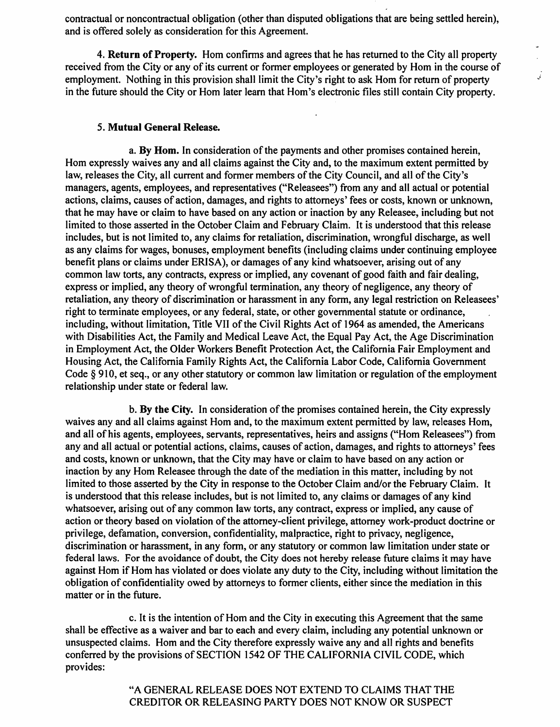contractual or noncontractual obligation (other than disputed obligations that are being settled herein), and is offered solely as consideration for this Agreement.

**4. Return of Property.** Horn confirms and agrees that he has returned to the City all property received from the City or any of its current or former employees or generated by Hom in the course of employment. Nothing in this provision shall limit the City's right to ask Hom for return of property in the future should the City or Hom later learn that Hom's electronic files still contain City property.

.<br>تى

# **5. Mutual General Release.**

**a. By Hom.** In consideration of the payments and other promises contained herein, Horn expressly waives any and all claims against the City and, to the maximum extent permitted by law, releases the City, all current and former members of the City Council, and all of the City's managers, agents, employees, and representatives ("Releasees") from any and all actual or potential actions, claims, causes of action, damages, and rights to attorneys' fees or costs, known or unknown, that he may have or claim to have based on any action or inaction by any Releasee, including but not limited to those asserted in the October Claim and February Claim. It is understood that this release includes, but is not limited to, any claims for retaliation, discrimination, wrongful discharge, as well as any claims for wages, bonuses, employment benefits (including claims under continuing employee benefit plans or claims under ERISA), or damages of any kind whatsoever, arising out of any common law torts, any contracts, express or implied, any covenant of good faith and fair dealing, express or implied, any theory of wrongful termination, any theory of negligence, any theory of retaliation, any theory of discrimination or harassment in any form, any legal restriction on Releasees' right to terminate employees, or any federal, state, or other governmental statute or ordinance, including, without limitation, Title VII of the Civil Rights Act of 1964 as amended, the Americans with Disabilities Act, the Family and Medical Leave Act, the Equal Pay Act, the Age Discrimination in Employment Act, the Older Workers Benefit Protection Act, the California Fair Employment and Housing Act, the California Family Rights Act, the California Labor Code, California Government Code § 910, et seq., or any other statutory or common law limitation or regulation of the employment relationship under state or federal law.

**b. By the City.** In consideration of the promises contained herein, the City expressly waives any and all claims against Hom and, to the maximum extent permitted by law, releases Hom, and all of his agents, employees, servants, representatives, heirs and assigns ("Horn Releasees") from any and all actual or potential actions, claims, causes of action, damages, and rights to attorneys' fees and costs, known or unknown, that the City may have or claim to have based on any action or inaction by any Hom Releasee through the date of the mediation in this matter, including by not limited to those asserted by the City in response to the October Claim and/or the February Claim. It is understood that this release includes, but is not limited to, any claims or damages of any kind whatsoever, arising out of any common law torts, any contract, express or implied, any cause of action or theory based on violation of the attorney-client privilege, attorney work-product doctrine or privilege, defamation, conversion, confidentiality, malpractice, right to privacy, negligence, discrimination or harassment, in any form, or any statutory or common law limitation under state or federal laws. For the avoidance of doubt, the City does not hereby release future claims it may have against Hom if Horn has violated or does violate any duty to the City, including without limitation the obligation of confidentiality owed by attorneys to former clients, either since the mediation in this matter or in the future.

c. It is the intention of Horn and the City in executing this Agreement that the same shall be effective as a waiver and bar to each and every claim, including any potential unknown or unsuspected claims. Hom and the City therefore expressly waive any and all rights and benefits conferred by the provisions of SECTION 1542 OF THE CALIFORNIA CIVIL CODE, which provides:

> "A GENERAL RELEASE DOES NOT EXTEND TO CLAIMS THAT THE CREDITOR OR RELEASING PARTY DOES NOT KNOW OR SUSPECT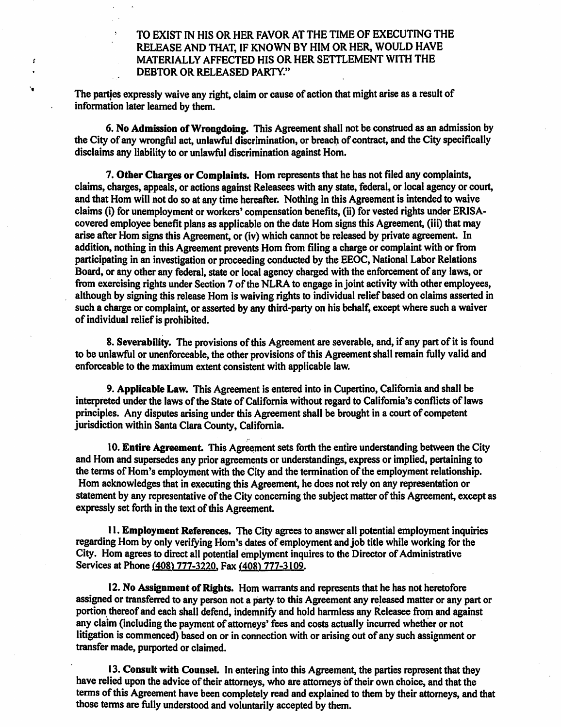**TO EXIST IN HIS OR HER FAVOR AT THE TIME OF EXECUTING THE RELEASE AND THAT, IF KNOWN BY HIM OR HER, WOULD HAVE MATERIALLY AFFECTED HIS OR HER SETTLEMENT WITH THE DEBTOR OR RELEASED PARTY."** 

**The parties expressly waive any right, claim or cause of action that might arise as a result of information later learned by them.** 

ś

'n,

**6. No Admission of Wrongdoing. This Agreement shall not be construed as an admission by the City of any wrongful act, unlawful discrimination, or breach of contract, and the City specifically disclaims any liability to or unlawful discrimination against Horn.** 

**7. Other Charges or Complaints. Hom represents that he has not filed any complaints, claims, charges, appeals, or actions against Releasees with any state, federal, or local agency or court, and that Horn will not do so at any time hereafter. Nothing in this Agreement is intended to waive claims (i) for unemployment or workers' compensation benefits, (ii) for vested rights under ERISAcovered employee benefit plans as applicable on the date Hom signs this Agreement, (iii) that may arise after Horn signs this Agreement, or (iv) which cannot be released by private agreement. In addition, nothing in this Agreement prevents Hom from filing a charge or complaint with or from participating in an investigation or proceeding conducted by the EEOC, National Labor Relations Board, or any other any federal, state or local agency charged with the enforcement of any laws, or from exercising rights under Section 7 of the NLRA to engage in joint activity with other employees, although by signing this release Hom is waiving rights to individual relief based on claims asserted in such a charge or complaint, or asserted by any third-party on his behalf, except where such a waiver of individual relief is prohibited.** 

**8. Severability. The provisions of this Agreement are severable, and, if any part of it is found to be unlawful or unenforceable, the other provisions of this Agreement shall remain fully valid and enforceable to the maximum extent consistent with applicable law.** 

**9. Applicable Law. This Agreement is entered into in Cupertino, California and shall be interpreted under the laws of the State of California without regard to California's conflicts of laws principles. Any disputes arising under this Agreement shall be brought in a court of competent jurisdiction within Santa Clara County, California.** 

**10. Entire Agreement. This Agreement sets forth the entire understanding between the City and Hom and supersedes any prior agreements or understandings, express or implied, pertaining to the terms of Horn's employment with the City and the termination of the employment relationship. Hom acknowledges that in executing this Agreement, he does not rely on any representation or statement by any representative of the City concerning the subject matter of this Agreement, except as expressly set forth in the text of this Agreement.** 

**11. Employment References. The City agrees to answer all potential employment inquiries regarding Hom by only verifying Horn's dates of employment and job title while working for the City. Hom agrees to direct all potential emplyment inquires to the Director of Administrative Services at Phone (408) 777-3220, Fax (408) 777-3109.** 

**12. No Assignment of Rights. Horn warrants and represents that he has not heretofore assigned or transferred to any person not a party to this Agreement any released matter or any part or portion thereof and each shall defend, indemnify and hold harmless any Releasee from and against any claim (including the payment of attorneys' fees and costs actually incurred whether or not litigation is commenced) based on or in connection with or arising out of any such assignment or transfer made, purported or claimed.** 

**13. Consult with Counsel. In entering into this Agreement, the parties represent that they have relied upon the advice of their attorneys, who are attorneys of their own choice, and that the terms of this Agreement have been completely read and explained to them by their attorneys, and that those terms are fully understood and voluntarily accepted by them.**